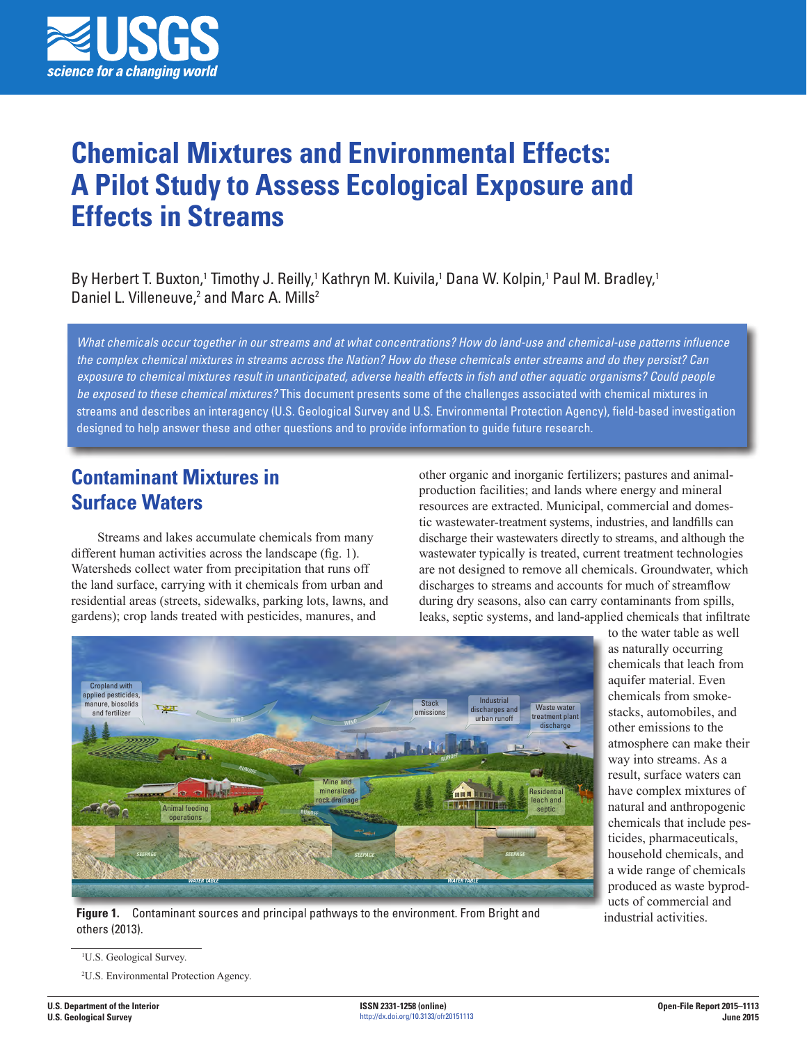

# **Chemical Mixtures and Environmental Effects: A Pilot Study to Assess Ecological Exposure and Effects in Streams**

By Herbert T. Buxton,1 Timothy J. Reilly,1 Kathryn M. Kuivila,1 Dana W. Kolpin,1 Paul M. Bradley,1 Daniel L. Villeneuve,<sup>2</sup> and Marc A. Mills<sup>2</sup>

*What chemicals occur together in our streams and at what concentrations? How do land-use and chemical-use patterns influence the complex chemical mixtures in streams across the Nation? How do these chemicals enter streams and do they persist? Can exposure to chemical mixtures result in unanticipated, adverse health effects in fish and other aquatic organisms? Could people be exposed to these chemical mixtures?* This document presents some of the challenges associated with chemical mixtures in streams and describes an interagency (U.S. Geological Survey and U.S. Environmental Protection Agency), field-based investigation designed to help answer these and other questions and to provide information to guide future research.

# **Contaminant Mixtures in Surface Waters**

Streams and lakes accumulate chemicals from many different human activities across the landscape (fig. 1). Watersheds collect water from precipitation that runs off the land surface, carrying with it chemicals from urban and residential areas (streets, sidewalks, parking lots, lawns, and gardens); crop lands treated with pesticides, manures, and

other organic and inorganic fertilizers; pastures and animalproduction facilities; and lands where energy and mineral resources are extracted. Municipal, commercial and domestic wastewater-treatment systems, industries, and landfills can discharge their wastewaters directly to streams, and although the wastewater typically is treated, current treatment technologies are not designed to remove all chemicals. Groundwater, which discharges to streams and accounts for much of streamflow during dry seasons, also can carry contaminants from spills, leaks, septic systems, and land-applied chemicals that infiltrate



**Figure 1.** Contaminant sources and principal pathways to the environment. From Bright and others (2013).

to the water table as well as naturally occurring chemicals that leach from aquifer material. Even chemicals from smokestacks, automobiles, and other emissions to the atmosphere can make their way into streams. As a result, surface waters can have complex mixtures of natural and anthropogenic chemicals that include pesticides, pharmaceuticals, household chemicals, and a wide range of chemicals produced as waste byproducts of commercial and industrial activities.

2 U.S. Environmental Protection Agency.

<sup>1</sup> U.S. Geological Survey.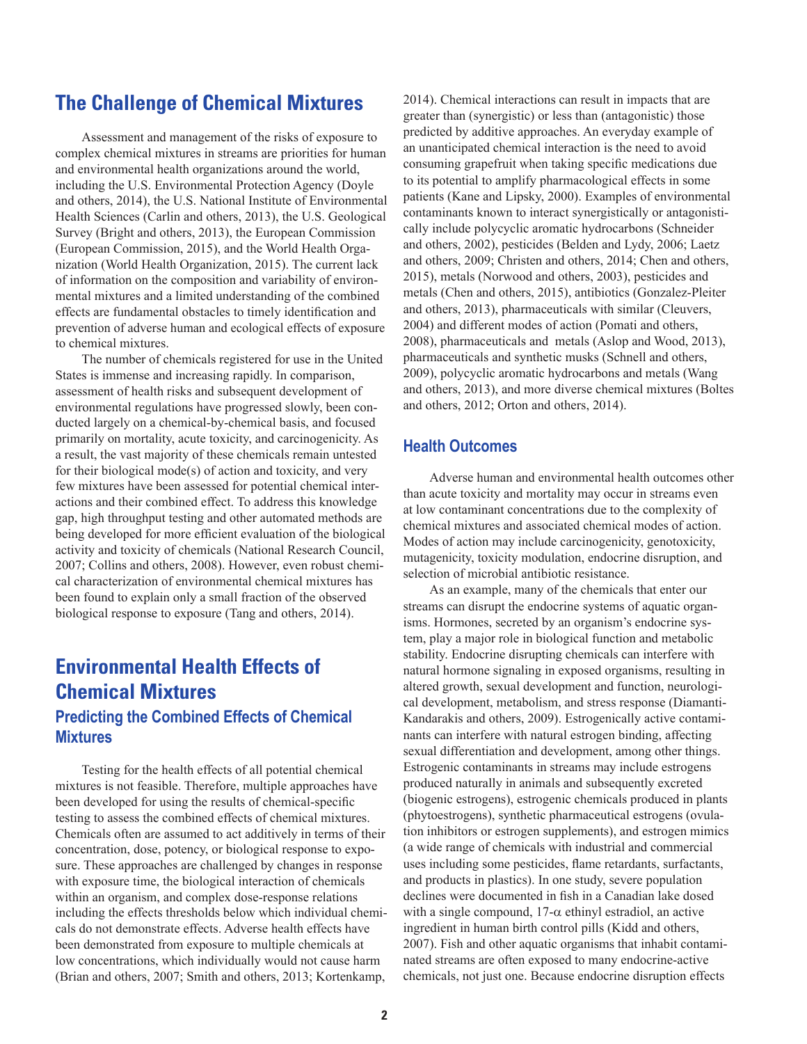# **The Challenge of Chemical Mixtures**

Assessment and management of the risks of exposure to complex chemical mixtures in streams are priorities for human and environmental health organizations around the world, including the U.S. Environmental Protection Agency (Doyle and others, 2014), the U.S. National Institute of Environmental Health Sciences (Carlin and others, 2013), the U.S. Geological Survey (Bright and others, 2013), the European Commission (European Commission, 2015), and the World Health Organization (World Health Organization, 2015). The current lack of information on the composition and variability of environmental mixtures and a limited understanding of the combined effects are fundamental obstacles to timely identification and prevention of adverse human and ecological effects of exposure to chemical mixtures.

The number of chemicals registered for use in the United States is immense and increasing rapidly. In comparison, assessment of health risks and subsequent development of environmental regulations have progressed slowly, been conducted largely on a chemical-by-chemical basis, and focused primarily on mortality, acute toxicity, and carcinogenicity. As a result, the vast majority of these chemicals remain untested for their biological mode(s) of action and toxicity, and very few mixtures have been assessed for potential chemical interactions and their combined effect. To address this knowledge gap, high throughput testing and other automated methods are being developed for more efficient evaluation of the biological activity and toxicity of chemicals (National Research Council, 2007; Collins and others, 2008). However, even robust chemical characterization of environmental chemical mixtures has been found to explain only a small fraction of the observed biological response to exposure (Tang and others, 2014).

# **Environmental Health Effects of Chemical Mixtures Predicting the Combined Effects of Chemical Mixtures**

Testing for the health effects of all potential chemical mixtures is not feasible. Therefore, multiple approaches have been developed for using the results of chemical-specific testing to assess the combined effects of chemical mixtures. Chemicals often are assumed to act additively in terms of their concentration, dose, potency, or biological response to exposure. These approaches are challenged by changes in response with exposure time, the biological interaction of chemicals within an organism, and complex dose-response relations including the effects thresholds below which individual chemicals do not demonstrate effects. Adverse health effects have been demonstrated from exposure to multiple chemicals at low concentrations, which individually would not cause harm (Brian and others, 2007; Smith and others, 2013; Kortenkamp,

2014). Chemical interactions can result in impacts that are greater than (synergistic) or less than (antagonistic) those predicted by additive approaches. An everyday example of an unanticipated chemical interaction is the need to avoid consuming grapefruit when taking specific medications due to its potential to amplify pharmacological effects in some patients (Kane and Lipsky, 2000). Examples of environmental contaminants known to interact synergistically or antagonistically include polycyclic aromatic hydrocarbons (Schneider and others, 2002), pesticides (Belden and Lydy, 2006; Laetz and others, 2009; Christen and others, 2014; Chen and others, 2015), metals (Norwood and others, 2003), pesticides and metals (Chen and others, 2015), antibiotics (Gonzalez-Pleiter and others, 2013), pharmaceuticals with similar (Cleuvers, 2004) and different modes of action (Pomati and others, 2008), pharmaceuticals and metals (Aslop and Wood, 2013), pharmaceuticals and synthetic musks (Schnell and others, 2009), polycyclic aromatic hydrocarbons and metals (Wang and others, 2013), and more diverse chemical mixtures (Boltes and others, 2012; Orton and others, 2014).

## **Health Outcomes**

Adverse human and environmental health outcomes other than acute toxicity and mortality may occur in streams even at low contaminant concentrations due to the complexity of chemical mixtures and associated chemical modes of action. Modes of action may include carcinogenicity, genotoxicity, mutagenicity, toxicity modulation, endocrine disruption, and selection of microbial antibiotic resistance.

As an example, many of the chemicals that enter our streams can disrupt the endocrine systems of aquatic organisms. Hormones, secreted by an organism's endocrine system, play a major role in biological function and metabolic stability. Endocrine disrupting chemicals can interfere with natural hormone signaling in exposed organisms, resulting in altered growth, sexual development and function, neurological development, metabolism, and stress response (Diamanti-Kandarakis and others, 2009). Estrogenically active contaminants can interfere with natural estrogen binding, affecting sexual differentiation and development, among other things. Estrogenic contaminants in streams may include estrogens produced naturally in animals and subsequently excreted (biogenic estrogens), estrogenic chemicals produced in plants (phytoestrogens), synthetic pharmaceutical estrogens (ovulation inhibitors or estrogen supplements), and estrogen mimics (a wide range of chemicals with industrial and commercial uses including some pesticides, flame retardants, surfactants, and products in plastics). In one study, severe population declines were documented in fish in a Canadian lake dosed with a single compound,  $17-\alpha$  ethinyl estradiol, an active ingredient in human birth control pills (Kidd and others, 2007). Fish and other aquatic organisms that inhabit contaminated streams are often exposed to many endocrine-active chemicals, not just one. Because endocrine disruption effects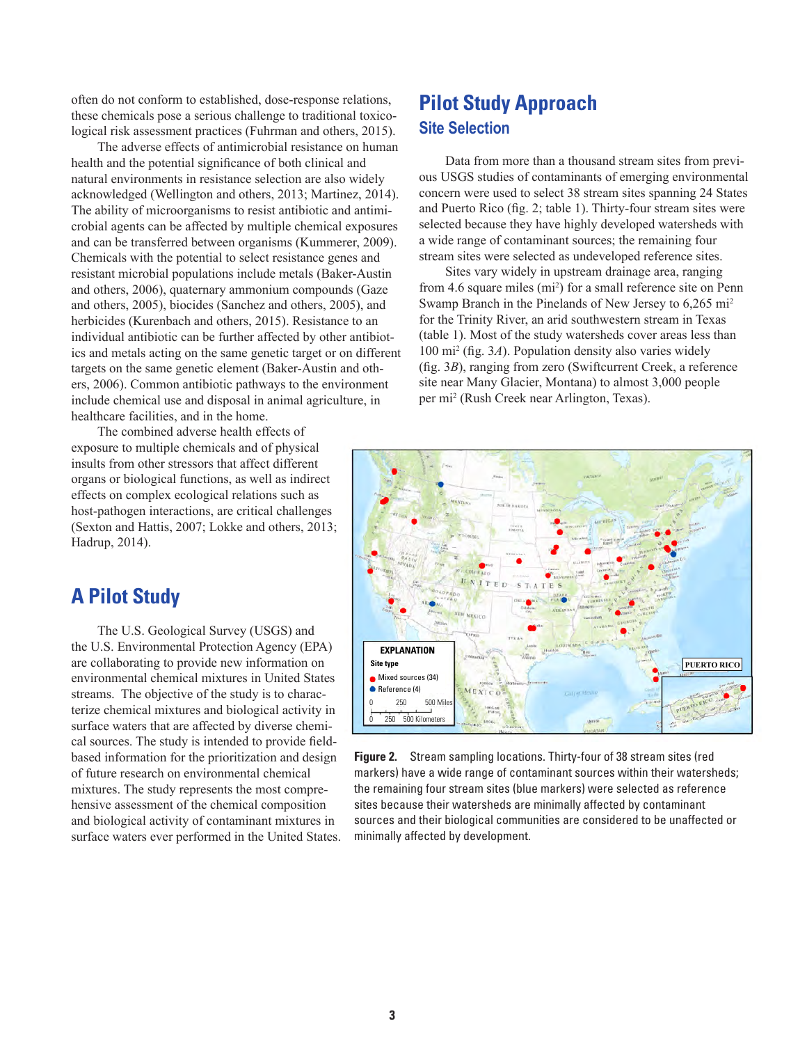often do not conform to established, dose-response relations, these chemicals pose a serious challenge to traditional toxicological risk assessment practices (Fuhrman and others, 2015).

The adverse effects of antimicrobial resistance on human health and the potential significance of both clinical and natural environments in resistance selection are also widely acknowledged (Wellington and others, 2013; Martinez, 2014). The ability of microorganisms to resist antibiotic and antimicrobial agents can be affected by multiple chemical exposures and can be transferred between organisms (Kummerer, 2009). Chemicals with the potential to select resistance genes and resistant microbial populations include metals (Baker-Austin and others, 2006), quaternary ammonium compounds (Gaze and others, 2005), biocides (Sanchez and others, 2005), and herbicides (Kurenbach and others, 2015). Resistance to an individual antibiotic can be further affected by other antibiotics and metals acting on the same genetic target or on different targets on the same genetic element (Baker-Austin and others, 2006). Common antibiotic pathways to the environment include chemical use and disposal in animal agriculture, in healthcare facilities, and in the home.

The combined adverse health effects of exposure to multiple chemicals and of physical insults from other stressors that affect different organs or biological functions, as well as indirect effects on complex ecological relations such as host-pathogen interactions, are critical challenges (Sexton and Hattis, 2007; Lokke and others, 2013; Hadrup, 2014).

# **A Pilot Study**

The U.S. Geological Survey (USGS) and the U.S. Environmental Protection Agency (EPA) are collaborating to provide new information on environmental chemical mixtures in United States streams. The objective of the study is to characterize chemical mixtures and biological activity in surface waters that are affected by diverse chemical sources. The study is intended to provide fieldbased information for the prioritization and design of future research on environmental chemical mixtures. The study represents the most comprehensive assessment of the chemical composition and biological activity of contaminant mixtures in surface waters ever performed in the United States.

# **Pilot Study Approach Site Selection**

Data from more than a thousand stream sites from previous USGS studies of contaminants of emerging environmental concern were used to select 38 stream sites spanning 24 States and Puerto Rico (fig. 2; table 1). Thirty-four stream sites were selected because they have highly developed watersheds with a wide range of contaminant sources; the remaining four stream sites were selected as undeveloped reference sites.

Sites vary widely in upstream drainage area, ranging from 4.6 square miles (mi<sup>2</sup>) for a small reference site on Penn Swamp Branch in the Pinelands of New Jersey to 6,265 mi<sup>2</sup> for the Trinity River, an arid southwestern stream in Texas (table 1). Most of the study watersheds cover areas less than 100 mi2 (fig. 3*A*). Population density also varies widely (fig. 3*B*), ranging from zero (Swiftcurrent Creek, a reference site near Many Glacier, Montana) to almost 3,000 people per mi2 (Rush Creek near Arlington, Texas).



**Figure 2.** Stream sampling locations. Thirty-four of 38 stream sites (red markers) have a wide range of contaminant sources within their watersheds; the remaining four stream sites (blue markers) were selected as reference sites because their watersheds are minimally affected by contaminant sources and their biological communities are considered to be unaffected or minimally affected by development.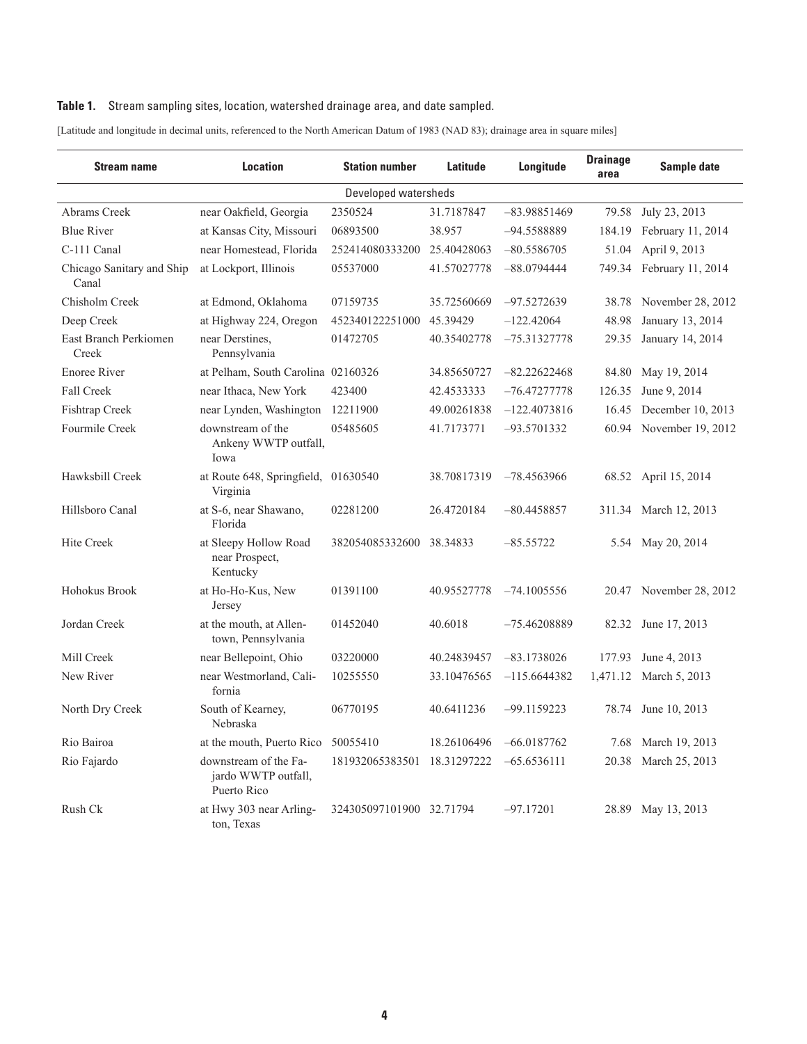## Table 1. Stream sampling sites, location, watershed drainage area, and date sampled.

[Latitude and longitude in decimal units, referenced to the North American Datum of 1983 (NAD 83); drainage area in square miles]

| <b>Stream name</b>                 | <b>Location</b>                                             | <b>Station number</b>    | Latitude    | Longitude      | <b>Drainage</b><br>area | Sample date              |  |  |  |  |  |
|------------------------------------|-------------------------------------------------------------|--------------------------|-------------|----------------|-------------------------|--------------------------|--|--|--|--|--|
| Developed watersheds               |                                                             |                          |             |                |                         |                          |  |  |  |  |  |
| Abrams Creek                       | near Oakfield, Georgia                                      | 2350524                  | 31.7187847  | $-83.98851469$ | 79.58                   | July 23, 2013            |  |  |  |  |  |
| <b>Blue River</b>                  | at Kansas City, Missouri                                    | 06893500                 | 38.957      | -94.5588889    | 184.19                  | February 11, 2014        |  |  |  |  |  |
| C-111 Canal                        | near Homestead, Florida                                     | 252414080333200          | 25.40428063 | $-80.5586705$  | 51.04                   | April 9, 2013            |  |  |  |  |  |
| Chicago Sanitary and Ship<br>Canal | at Lockport, Illinois                                       | 05537000                 | 41.57027778 | $-88.0794444$  |                         | 749.34 February 11, 2014 |  |  |  |  |  |
| Chisholm Creek                     | at Edmond, Oklahoma                                         | 07159735                 | 35.72560669 | $-97.5272639$  | 38.78                   | November 28, 2012        |  |  |  |  |  |
| Deep Creek                         | at Highway 224, Oregon                                      | 452340122251000          | 45.39429    | $-122.42064$   | 48.98                   | January 13, 2014         |  |  |  |  |  |
| East Branch Perkiomen<br>Creek     | near Derstines,<br>Pennsylvania                             | 01472705                 | 40.35402778 | $-75.31327778$ | 29.35                   | January 14, 2014         |  |  |  |  |  |
| <b>Enoree River</b>                | at Pelham, South Carolina 02160326                          |                          | 34.85650727 | $-82.22622468$ | 84.80                   | May 19, 2014             |  |  |  |  |  |
| <b>Fall Creek</b>                  | near Ithaca, New York                                       | 423400                   | 42.4533333  | $-76.47277778$ | 126.35                  | June 9, 2014             |  |  |  |  |  |
| <b>Fishtrap Creek</b>              | near Lynden, Washington                                     | 12211900                 | 49.00261838 | $-122.4073816$ | 16.45                   | December 10, 2013        |  |  |  |  |  |
| Fourmile Creek                     | downstream of the<br>Ankeny WWTP outfall,<br>Iowa           | 05485605                 | 41.7173771  | $-93.5701332$  | 60.94                   | November 19, 2012        |  |  |  |  |  |
| Hawksbill Creek                    | at Route 648, Springfield, 01630540<br>Virginia             |                          | 38.70817319 | $-78.4563966$  |                         | 68.52 April 15, 2014     |  |  |  |  |  |
| Hillsboro Canal                    | at S-6, near Shawano,<br>Florida                            | 02281200                 | 26.4720184  | $-80.4458857$  | 311.34                  | March 12, 2013           |  |  |  |  |  |
| <b>Hite Creek</b>                  | at Sleepy Hollow Road<br>near Prospect,<br>Kentucky         | 382054085332600 38.34833 |             | $-85.55722$    | 5.54                    | May 20, 2014             |  |  |  |  |  |
| Hohokus Brook                      | at Ho-Ho-Kus, New<br>Jersey                                 | 01391100                 | 40.95527778 | $-74.1005556$  |                         | 20.47 November 28, 2012  |  |  |  |  |  |
| Jordan Creek                       | at the mouth, at Allen-<br>town, Pennsylvania               | 01452040                 | 40.6018     | –75.46208889   |                         | 82.32 June 17, 2013      |  |  |  |  |  |
| Mill Creek                         | near Bellepoint, Ohio                                       | 03220000                 | 40.24839457 | $-83.1738026$  | 177.93                  | June 4, 2013             |  |  |  |  |  |
| New River                          | near Westmorland, Cali-<br>fornia                           | 10255550                 | 33.10476565 | $-115.6644382$ | 1,471.12                | March 5, 2013            |  |  |  |  |  |
| North Dry Creek                    | South of Kearney,<br>Nebraska                               | 06770195                 | 40.6411236  | $-99.1159223$  | 78.74                   | June 10, 2013            |  |  |  |  |  |
| Rio Bairoa                         | at the mouth, Puerto Rico                                   | 50055410                 | 18.26106496 | $-66.0187762$  | 7.68                    | March 19, 2013           |  |  |  |  |  |
| Rio Fajardo                        | downstream of the Fa-<br>jardo WWTP outfall,<br>Puerto Rico | 181932065383501          | 18.31297222 | $-65.6536111$  | 20.38                   | March 25, 2013           |  |  |  |  |  |
| Rush Ck                            | at Hwy 303 near Arling-<br>ton, Texas                       | 324305097101900 32.71794 |             | $-97.17201$    | 28.89                   | May 13, 2013             |  |  |  |  |  |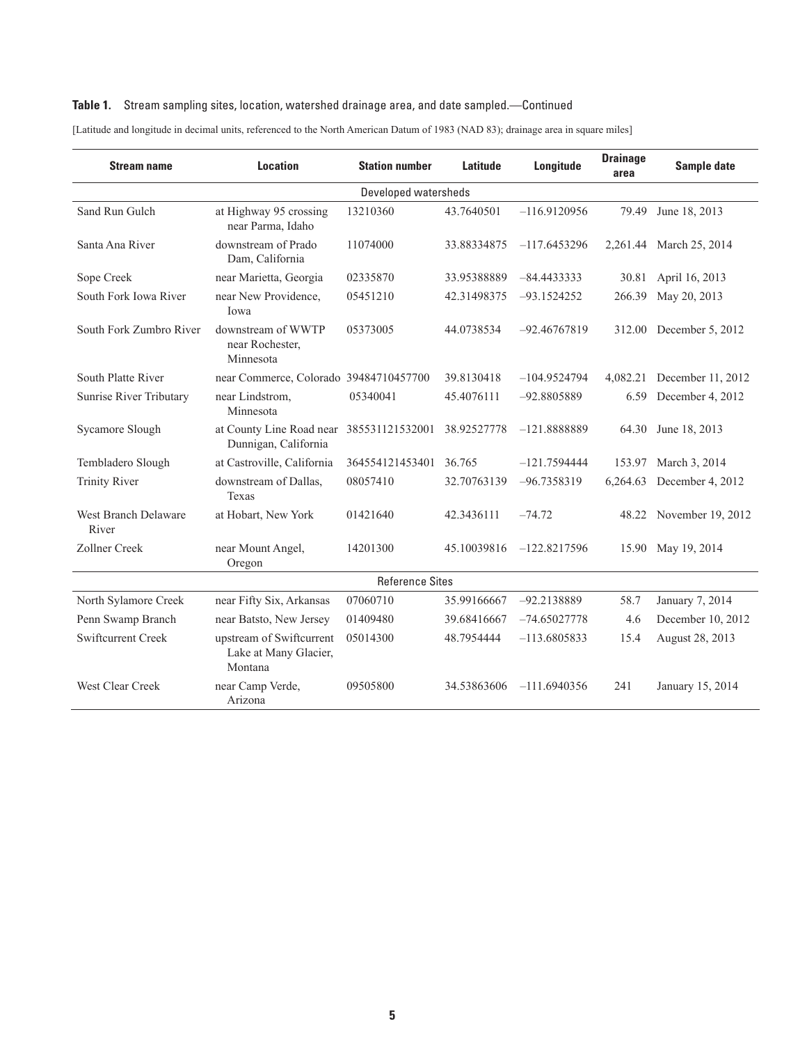## **Table 1.** Stream sampling sites, location, watershed drainage area, and date sampled.—Continued

| <b>Stream name</b>            | <b>Location</b>                                              | <b>Station number</b> | Latitude    | Longitude      | <b>Drainage</b><br>area | Sample date             |  |  |  |  |
|-------------------------------|--------------------------------------------------------------|-----------------------|-------------|----------------|-------------------------|-------------------------|--|--|--|--|
| Developed watersheds          |                                                              |                       |             |                |                         |                         |  |  |  |  |
| Sand Run Gulch                | at Highway 95 crossing<br>near Parma, Idaho                  | 13210360              | 43.7640501  | $-116.9120956$ | 79.49                   | June 18, 2013           |  |  |  |  |
| Santa Ana River               | downstream of Prado<br>Dam, California                       | 11074000              | 33.88334875 | $-117.6453296$ |                         | 2,261.44 March 25, 2014 |  |  |  |  |
| Sope Creek                    | near Marietta, Georgia                                       | 02335870              | 33.95388889 | $-84.4433333$  | 30.81                   | April 16, 2013          |  |  |  |  |
| South Fork Iowa River         | near New Providence,<br>Iowa                                 | 05451210              | 42.31498375 | $-93.1524252$  | 266.39                  | May 20, 2013            |  |  |  |  |
| South Fork Zumbro River       | downstream of WWTP<br>near Rochester,<br>Minnesota           | 05373005              | 44.0738534  | $-92.46767819$ | 312.00                  | December 5, 2012        |  |  |  |  |
| South Platte River            | near Commerce, Colorado 39484710457700                       |                       | 39.8130418  | $-104.9524794$ | 4,082.21                | December 11, 2012       |  |  |  |  |
| Sunrise River Tributary       | near Lindstrom,<br>Minnesota                                 | 05340041              | 45.4076111  | -92.8805889    | 6.59                    | December 4, 2012        |  |  |  |  |
| Sycamore Slough               | at County Line Road near<br>Dunnigan, California             | 385531121532001       | 38.92527778 | $-121.8888889$ | 64.30                   | June 18, 2013           |  |  |  |  |
| Tembladero Slough             | at Castroville, California                                   | 364554121453401       | 36.765      | $-121.7594444$ | 153.97                  | March 3, 2014           |  |  |  |  |
| <b>Trinity River</b>          | downstream of Dallas,<br>Texas                               | 08057410              | 32.70763139 | $-96.7358319$  | 6,264.63                | December 4, 2012        |  |  |  |  |
| West Branch Delaware<br>River | at Hobart, New York                                          | 01421640              | 42.3436111  | $-74.72$       |                         | 48.22 November 19, 2012 |  |  |  |  |
| Zollner Creek                 | near Mount Angel,<br>Oregon                                  | 14201300              | 45.10039816 | $-122.8217596$ |                         | 15.90 May 19, 2014      |  |  |  |  |
| <b>Reference Sites</b>        |                                                              |                       |             |                |                         |                         |  |  |  |  |
| North Sylamore Creek          | near Fifty Six, Arkansas                                     | 07060710              | 35.99166667 | $-92.2138889$  | 58.7                    | January 7, 2014         |  |  |  |  |
| Penn Swamp Branch             | near Batsto, New Jersey                                      | 01409480              | 39.68416667 | $-74.65027778$ | 4.6                     | December 10, 2012       |  |  |  |  |
| <b>Swiftcurrent Creek</b>     | upstream of Swiftcurrent<br>Lake at Many Glacier,<br>Montana | 05014300              | 48.7954444  | $-113.6805833$ | 15.4                    | August 28, 2013         |  |  |  |  |
| West Clear Creek              | near Camp Verde,<br>Arizona                                  | 09505800              | 34.53863606 | $-111.6940356$ | 241                     | January 15, 2014        |  |  |  |  |

[Latitude and longitude in decimal units, referenced to the North American Datum of 1983 (NAD 83); drainage area in square miles]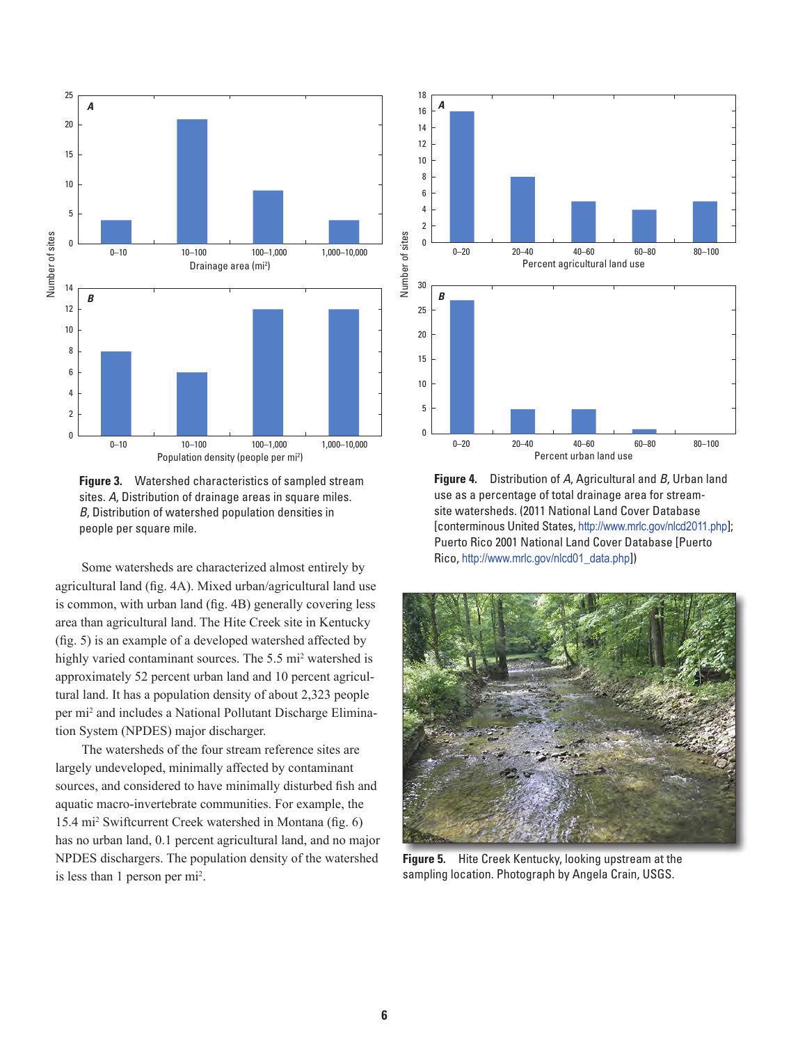

**Figure 3.** Watershed characteristics of sampled stream sites. *A*, Distribution of drainage areas in square miles. *B*, Distribution of watershed population densities in people per square mile.

Some watersheds are characterized almost entirely by agricultural land (fig. 4A). Mixed urban/agricultural land use is common, with urban land (fig. 4B) generally covering less area than agricultural land. The Hite Creek site in Kentucky (fig. 5) is an example of a developed watershed affected by highly varied contaminant sources. The 5.5 mi<sup>2</sup> watershed is approximately 52 percent urban land and 10 percent agricultural land. It has a population density of about 2,323 people per mi<sup>2</sup> and includes a National Pollutant Discharge Elimination System (NPDES) major discharger.

The watersheds of the four stream reference sites are largely undeveloped, minimally affected by contaminant sources, and considered to have minimally disturbed fish and aquatic macro-invertebrate communities. For example, the 15.4 mi2 Swiftcurrent Creek watershed in Montana (fig. 6) has no urban land, 0.1 percent agricultural land, and no major NPDES dischargers. The population density of the watershed is less than 1 person per mi2 .



**Figure 4.** Distribution of *A*, Agricultural and *B*, Urban land use as a percentage of total drainage area for streamsite watersheds. (2011 National Land Cover Database [conterminous United States, <http://www.mrlc.gov/nlcd2011.php>]; Puerto Rico 2001 National Land Cover Database [Puerto Rico, [http://www.mrlc.gov/nlcd01\\_data.php](http://www.mrlc.gov/nlcd01_data.php)])



**Figure 5.** Hite Creek Kentucky, looking upstream at the sampling location. Photograph by Angela Crain, USGS.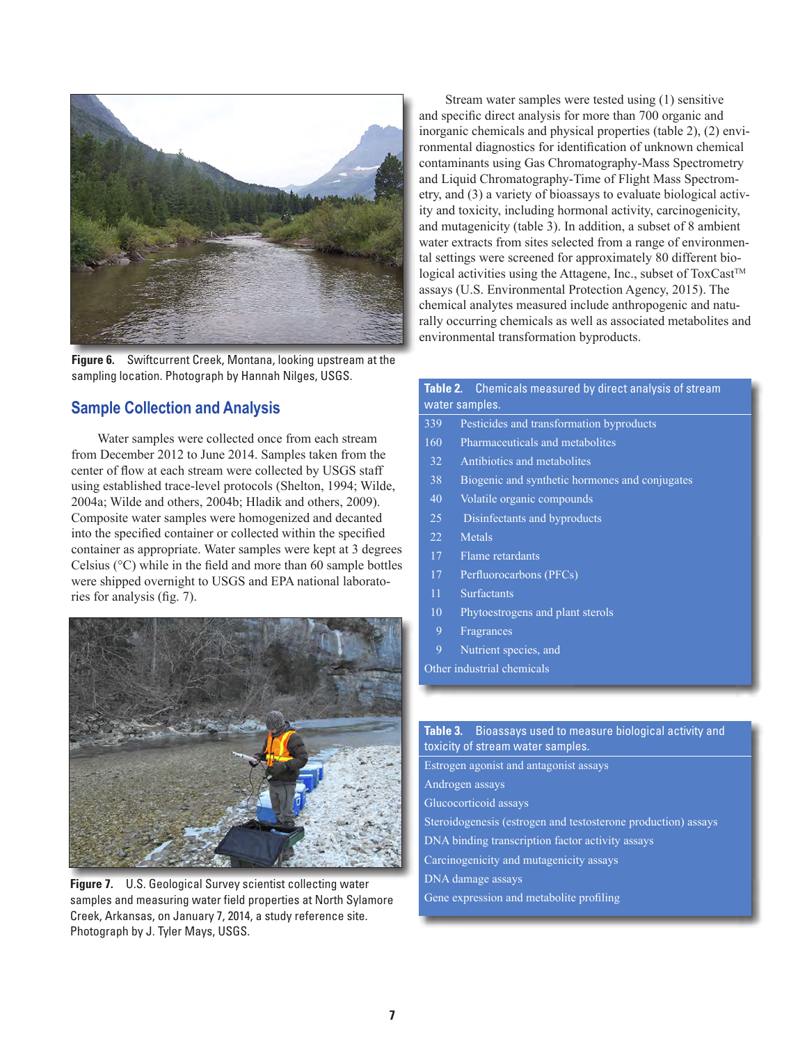

**Figure 6.** Swiftcurrent Creek, Montana, looking upstream at the sampling location. Photograph by Hannah Nilges, USGS.

## **Sample Collection and Analysis**

Water samples were collected once from each stream from December 2012 to June 2014. Samples taken from the center of flow at each stream were collected by USGS staff using established trace-level protocols (Shelton, 1994; Wilde, 2004a; Wilde and others, 2004b; Hladik and others, 2009). Composite water samples were homogenized and decanted into the specified container or collected within the specified container as appropriate. Water samples were kept at 3 degrees Celsius (°C) while in the field and more than 60 sample bottles were shipped overnight to USGS and EPA national laboratories for analysis (fig. 7).



**Figure 7.** U.S. Geological Survey scientist collecting water samples and measuring water field properties at North Sylamore Creek, Arkansas, on January 7, 2014, a study reference site. Photograph by J. Tyler Mays, USGS.

Stream water samples were tested using (1) sensitive and specific direct analysis for more than 700 organic and inorganic chemicals and physical properties (table 2), (2) environmental diagnostics for identification of unknown chemical contaminants using Gas Chromatography-Mass Spectrometry and Liquid Chromatography-Time of Flight Mass Spectrometry, and (3) a variety of bioassays to evaluate biological activity and toxicity, including hormonal activity, carcinogenicity, and mutagenicity (table 3). In addition, a subset of 8 ambient water extracts from sites selected from a range of environmental settings were screened for approximately 80 different biological activities using the Attagene, Inc., subset of ToxCast™ assays (U.S. Environmental Protection Agency, 2015). The chemical analytes measured include anthropogenic and naturally occurring chemicals as well as associated metabolites and environmental transformation byproducts.

## **Table 2.** Chemicals measured by direct analysis of stream water samples.

- 339 Pesticides and transformation byproducts
- 160 Pharmaceuticals and metabolites
- 32 Antibiotics and metabolites
- 38 Biogenic and synthetic hormones and conjugates
- 40 Volatile organic compounds
- 25 Disinfectants and byproducts
- 22 Metals
- 17 Flame retardants
- 17 Perfluorocarbons (PFCs)
- 11 Surfactants
- 10 Phytoestrogens and plant sterols
- 9 Fragrances
- 9 Nutrient species, and
- Other industrial chemicals

## **Table 3.** Bioassays used to measure biological activity and toxicity of stream water samples.

Estrogen agonist and antagonist assays Androgen assays Glucocorticoid assays Steroidogenesis (estrogen and testosterone production) assays DNA binding transcription factor activity assays Carcinogenicity and mutagenicity assays DNA damage assays Gene expression and metabolite profiling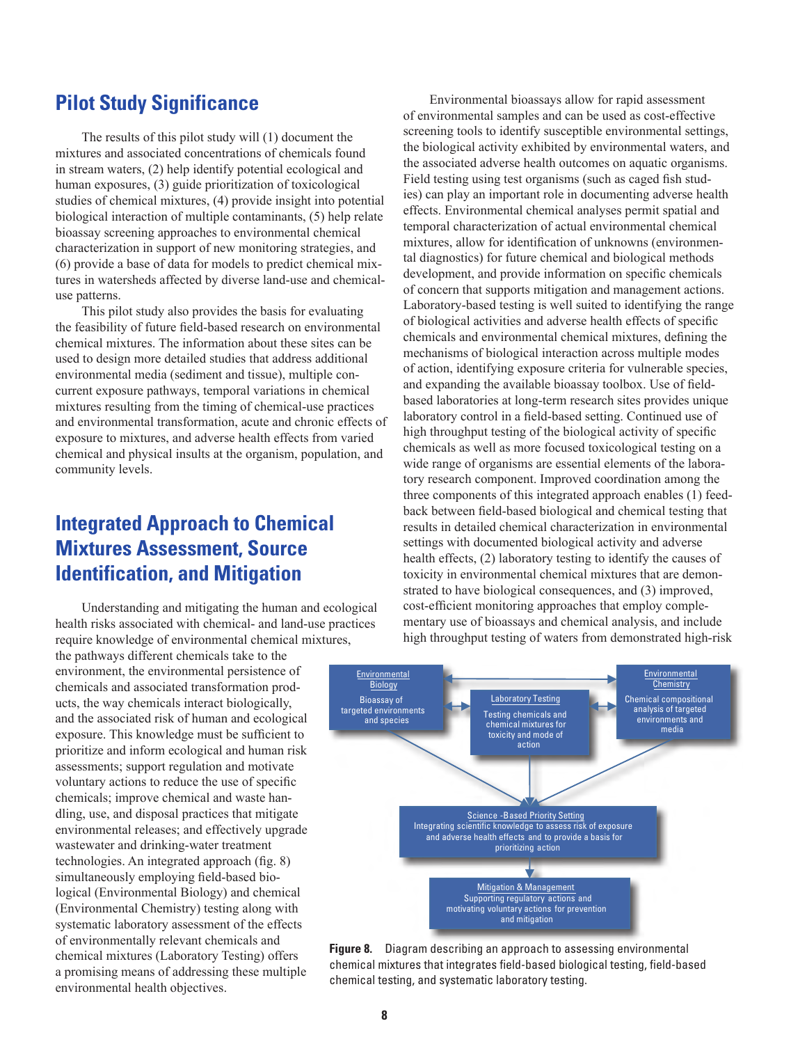# **Pilot Study Significance**

The results of this pilot study will (1) document the mixtures and associated concentrations of chemicals found in stream waters, (2) help identify potential ecological and human exposures, (3) guide prioritization of toxicological studies of chemical mixtures, (4) provide insight into potential biological interaction of multiple contaminants, (5) help relate bioassay screening approaches to environmental chemical characterization in support of new monitoring strategies, and (6) provide a base of data for models to predict chemical mixtures in watersheds affected by diverse land-use and chemicaluse patterns.

This pilot study also provides the basis for evaluating the feasibility of future field-based research on environmental chemical mixtures. The information about these sites can be used to design more detailed studies that address additional environmental media (sediment and tissue), multiple concurrent exposure pathways, temporal variations in chemical mixtures resulting from the timing of chemical-use practices and environmental transformation, acute and chronic effects of exposure to mixtures, and adverse health effects from varied chemical and physical insults at the organism, population, and community levels.

# **Integrated Approach to Chemical Mixtures Assessment, Source Identification, and Mitigation**

Understanding and mitigating the human and ecological health risks associated with chemical- and land-use practices require knowledge of environmental chemical mixtures,

the pathways different chemicals take to the environment, the environmental persistence of chemicals and associated transformation products, the way chemicals interact biologically, and the associated risk of human and ecological exposure. This knowledge must be sufficient to prioritize and inform ecological and human risk assessments; support regulation and motivate voluntary actions to reduce the use of specific chemicals; improve chemical and waste handling, use, and disposal practices that mitigate environmental releases; and effectively upgrade wastewater and drinking-water treatment technologies. An integrated approach (fig. 8) simultaneously employing field-based biological (Environmental Biology) and chemical (Environmental Chemistry) testing along with systematic laboratory assessment of the effects of environmentally relevant chemicals and chemical mixtures (Laboratory Testing) offers a promising means of addressing these multiple environmental health objectives.

Environmental bioassays allow for rapid assessment of environmental samples and can be used as cost-effective screening tools to identify susceptible environmental settings, the biological activity exhibited by environmental waters, and the associated adverse health outcomes on aquatic organisms. Field testing using test organisms (such as caged fish studies) can play an important role in documenting adverse health effects. Environmental chemical analyses permit spatial and temporal characterization of actual environmental chemical mixtures, allow for identification of unknowns (environmental diagnostics) for future chemical and biological methods development, and provide information on specific chemicals of concern that supports mitigation and management actions. Laboratory-based testing is well suited to identifying the range of biological activities and adverse health effects of specific chemicals and environmental chemical mixtures, defining the mechanisms of biological interaction across multiple modes of action, identifying exposure criteria for vulnerable species, and expanding the available bioassay toolbox. Use of fieldbased laboratories at long-term research sites provides unique laboratory control in a field-based setting. Continued use of high throughput testing of the biological activity of specific chemicals as well as more focused toxicological testing on a wide range of organisms are essential elements of the laboratory research component. Improved coordination among the three components of this integrated approach enables (1) feedback between field-based biological and chemical testing that results in detailed chemical characterization in environmental settings with documented biological activity and adverse health effects, (2) laboratory testing to identify the causes of toxicity in environmental chemical mixtures that are demonstrated to have biological consequences, and (3) improved, cost-efficient monitoring approaches that employ complementary use of bioassays and chemical analysis, and include high throughput testing of waters from demonstrated high-risk



**Figure 8.** Diagram describing an approach to assessing environmental chemical mixtures that integrates field-based biological testing, field-based chemical testing, and systematic laboratory testing.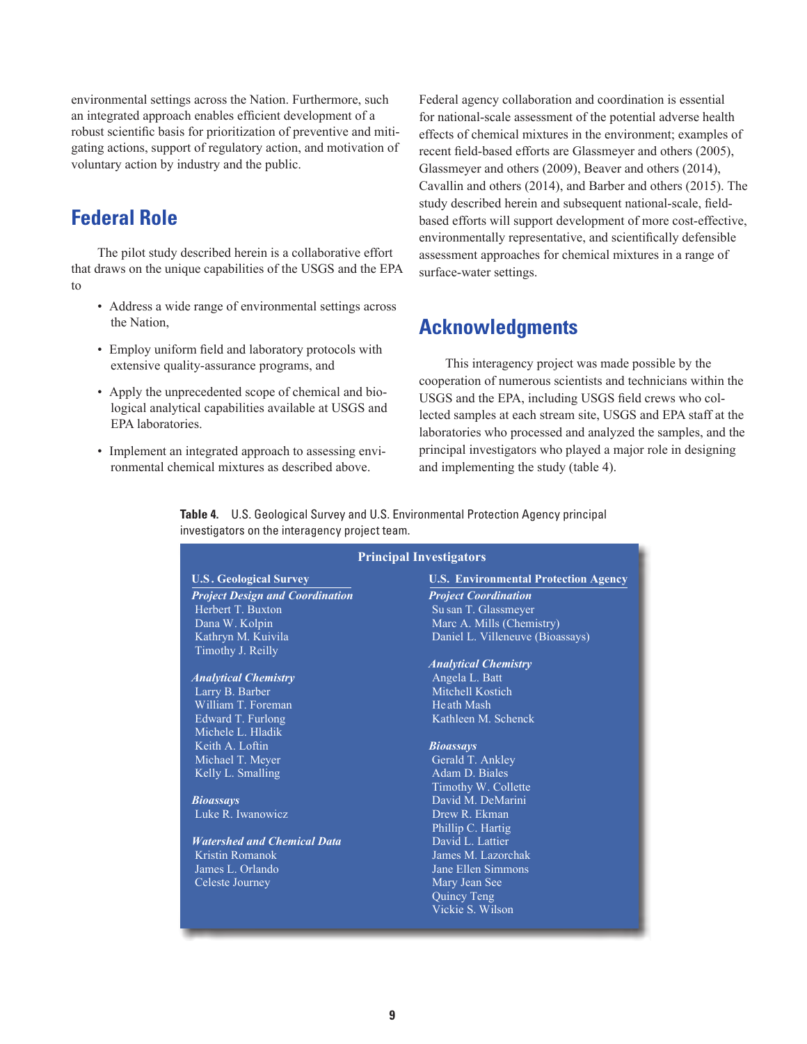environmental settings across the Nation. Furthermore, such an integrated approach enables efficient development of a robust scientific basis for prioritization of preventive and mitigating actions, support of regulatory action, and motivation of voluntary action by industry and the public.

# **Federal Role**

The pilot study described herein is a collaborative effort that draws on the unique capabilities of the USGS and the EPA to

- Address a wide range of environmental settings across the Nation,
- Employ uniform field and laboratory protocols with extensive quality-assurance programs, and
- Apply the unprecedented scope of chemical and biological analytical capabilities available at USGS and EPA laboratories.
- Implement an integrated approach to assessing environmental chemical mixtures as described above.

Federal agency collaboration and coordination is essential for national-scale assessment of the potential adverse health effects of chemical mixtures in the environment; examples of recent field-based efforts are Glassmeyer and others (2005), Glassmeyer and others (2009), Beaver and others (2014), Cavallin and others (2014), and Barber and others (2015). The study described herein and subsequent national-scale, fieldbased efforts will support development of more cost-effective, environmentally representative, and scientifically defensible assessment approaches for chemical mixtures in a range of surface-water settings.

# **Acknowledgments**

This interagency project was made possible by the cooperation of numerous scientists and technicians within the USGS and the EPA, including USGS field crews who collected samples at each stream site, USGS and EPA staff at the laboratories who processed and analyzed the samples, and the principal investigators who played a major role in designing and implementing the study (table 4).

**Table 4.** U.S. Geological Survey and U.S. Environmental Protection Agency principal investigators on the interagency project team.

## **Principal Investigators**

# *Project Design and Coordination Project Coordination*

Herbert T. Buxton Su san T. Glassmeyer<br>
Dana W. Kolpin Su san T. Glassmeyer<br>
Marc A. Mills (Chem Dana W. Kolpin Marc A. Mills (Chemistry)<br>
Kathryn M. Kuivila Marc A. Mills (Chemistry)<br>
Daniel L. Villeneuve (Bioa Timothy J. Reilly

## *Analytical Chemistry* Angela L. Batt

William T. Foreman Heath Mash Michele L. Hladik Keith A. Loftin *Bioassays* Michael T. Meyer Kelly L. Smalling **Adam D. Biales** Adam D. Biales

Luke R. Iwanowicz Drew R. Ekman

## *Watershed and Chemical Data* David L. Lattier<br>
Kristin Romanok **David L. Lattier** James M. Lazoro James L. Orlando Jane Ellen Simmons Celeste Journey Mary Jean See

## **U.S . Geological Survey U.S. Environmental Protection Agency**

Daniel L. Villeneuve (Bioassays)

## *Analytical Chemistry*

Larry B. Barber Mitchell Kostich Edward T. Furlong Kathleen M. Schenck

Timothy W. Collette *Bioassays* David M. DeMarini Phillip C. Hartig James M. Lazorchak Quincy Teng Vickie S. Wilson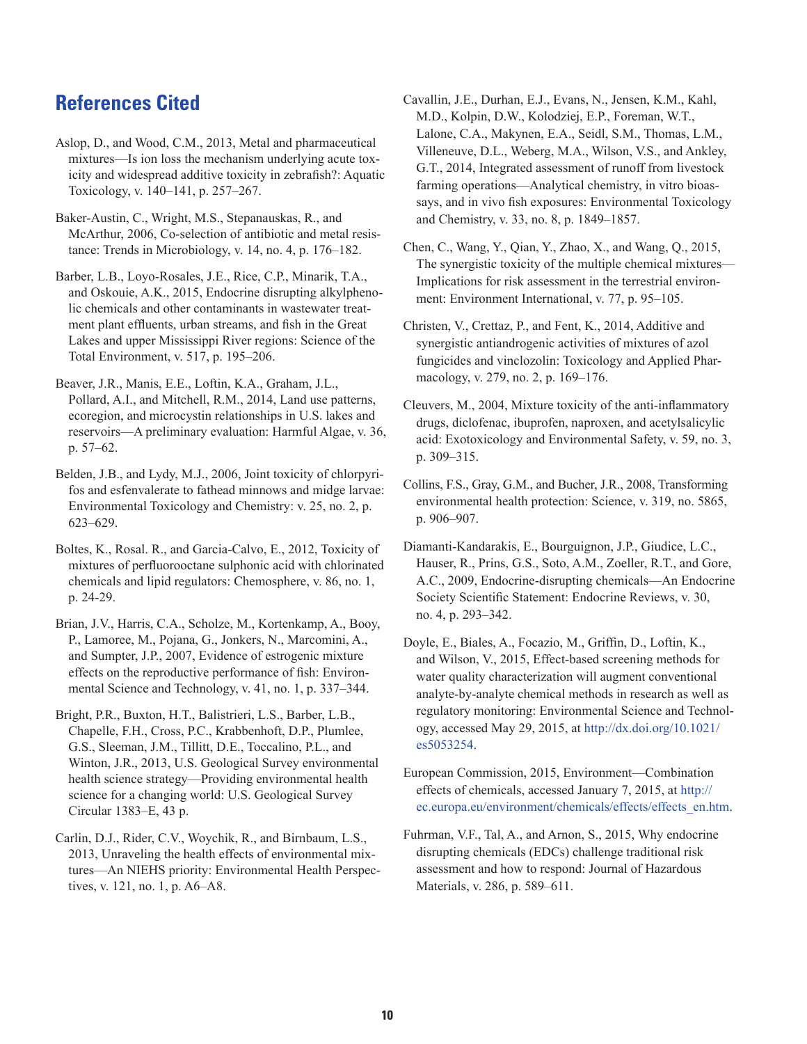# **References Cited**

Aslop, D., and Wood, C.M., 2013, Metal and pharmaceutical mixtures—Is ion loss the mechanism underlying acute toxicity and widespread additive toxicity in zebrafish?: Aquatic Toxicology, v. 140–141, p. 257–267.

Baker-Austin, C., Wright, M.S., Stepanauskas, R., and McArthur, 2006, Co-selection of antibiotic and metal resistance: Trends in Microbiology, v. 14, no. 4, p. 176–182.

Barber, L.B., Loyo-Rosales, J.E., Rice, C.P., Minarik, T.A., and Oskouie, A.K., 2015, Endocrine disrupting alkylphenolic chemicals and other contaminants in wastewater treatment plant effluents, urban streams, and fish in the Great Lakes and upper Mississippi River regions: Science of the Total Environment, v. 517, p. 195–206.

Beaver, J.R., Manis, E.E., Loftin, K.A., Graham, J.L., Pollard, A.I., and Mitchell, R.M., 2014, Land use patterns, ecoregion, and microcystin relationships in U.S. lakes and reservoirs—A preliminary evaluation: Harmful Algae, v. 36, p. 57–62.

Belden, J.B., and Lydy, M.J., 2006, Joint toxicity of chlorpyrifos and esfenvalerate to fathead minnows and midge larvae: Environmental Toxicology and Chemistry: v. 25, no. 2, p. 623–629.

Boltes, K., Rosal. R., and Garcia-Calvo, E., 2012, Toxicity of mixtures of perfluorooctane sulphonic acid with chlorinated chemicals and lipid regulators: Chemosphere, v. 86, no. 1, p. 24-29.

Brian, J.V., Harris, C.A., Scholze, M., Kortenkamp, A., Booy, P., Lamoree, M., Pojana, G., Jonkers, N., Marcomini, A., and Sumpter, J.P., 2007, Evidence of estrogenic mixture effects on the reproductive performance of fish: Environmental Science and Technology, v. 41, no. 1, p. 337–344.

Bright, P.R., Buxton, H.T., Balistrieri, L.S., Barber, L.B., Chapelle, F.H., Cross, P.C., Krabbenhoft, D.P., Plumlee, G.S., Sleeman, J.M., Tillitt, D.E., Toccalino, P.L., and Winton, J.R., 2013, U.S. Geological Survey environmental health science strategy—Providing environmental health science for a changing world: U.S. Geological Survey Circular 1383–E, 43 p.

Carlin, D.J., Rider, C.V., Woychik, R., and Birnbaum, L.S., 2013, Unraveling the health effects of environmental mixtures—An NIEHS priority: Environmental Health Perspectives, v. 121, no. 1, p. A6–A8.

Cavallin, J.E., Durhan, E.J., Evans, N., Jensen, K.M., Kahl, M.D., Kolpin, D.W., Kolodziej, E.P., Foreman, W.T., Lalone, C.A., Makynen, E.A., Seidl, S.M., Thomas, L.M., Villeneuve, D.L., Weberg, M.A., Wilson, V.S., and Ankley, G.T., 2014, Integrated assessment of runoff from livestock farming operations—Analytical chemistry, in vitro bioassays, and in vivo fish exposures: Environmental Toxicology and Chemistry, v. 33, no. 8, p. 1849–1857.

Chen, C., Wang, Y., Qian, Y., Zhao, X., and Wang, Q., 2015, The synergistic toxicity of the multiple chemical mixtures— Implications for risk assessment in the terrestrial environment: Environment International, v. 77, p. 95–105.

Christen, V., Crettaz, P., and Fent, K., 2014, Additive and synergistic antiandrogenic activities of mixtures of azol fungicides and vinclozolin: Toxicology and Applied Pharmacology, v. 279, no. 2, p. 169–176.

Cleuvers, M., 2004, Mixture toxicity of the anti-inflammatory drugs, diclofenac, ibuprofen, naproxen, and acetylsalicylic acid: Exotoxicology and Environmental Safety, v. 59, no. 3, p. 309–315.

Collins, F.S., Gray, G.M., and Bucher, J.R., 2008, Transforming environmental health protection: Science, v. 319, no. 5865, p. 906–907.

Diamanti-Kandarakis, E., Bourguignon, J.P., Giudice, L.C., Hauser, R., Prins, G.S., Soto, A.M., Zoeller, R.T., and Gore, A.C., 2009, Endocrine-disrupting chemicals—An Endocrine Society Scientific Statement: Endocrine Reviews, v. 30, no. 4, p. 293–342.

Doyle, E., Biales, A., Focazio, M., Griffin, D., Loftin, K., and Wilson, V., 2015, Effect-based screening methods for water quality characterization will augment conventional analyte-by-analyte chemical methods in research as well as regulatory monitoring: Environmental Science and Technology, accessed May 29, 2015, at [http://dx.doi.org/10.1021/](http://dx.doi.org/10.1021/es5053254) [es5053254.](http://dx.doi.org/10.1021/es5053254)

European Commission, 2015, Environment—Combination effects of chemicals, accessed January 7, 2015, at [http://](http://ec.europa.eu/environment/chemicals/effects/effects_en.htm) [ec.europa.eu/environment/chemicals/effects/effects\\_en.htm](http://ec.europa.eu/environment/chemicals/effects/effects_en.htm).

Fuhrman, V.F., Tal, A., and Arnon, S., 2015, Why endocrine disrupting chemicals (EDCs) challenge traditional risk assessment and how to respond: Journal of Hazardous Materials, v. 286, p. 589–611.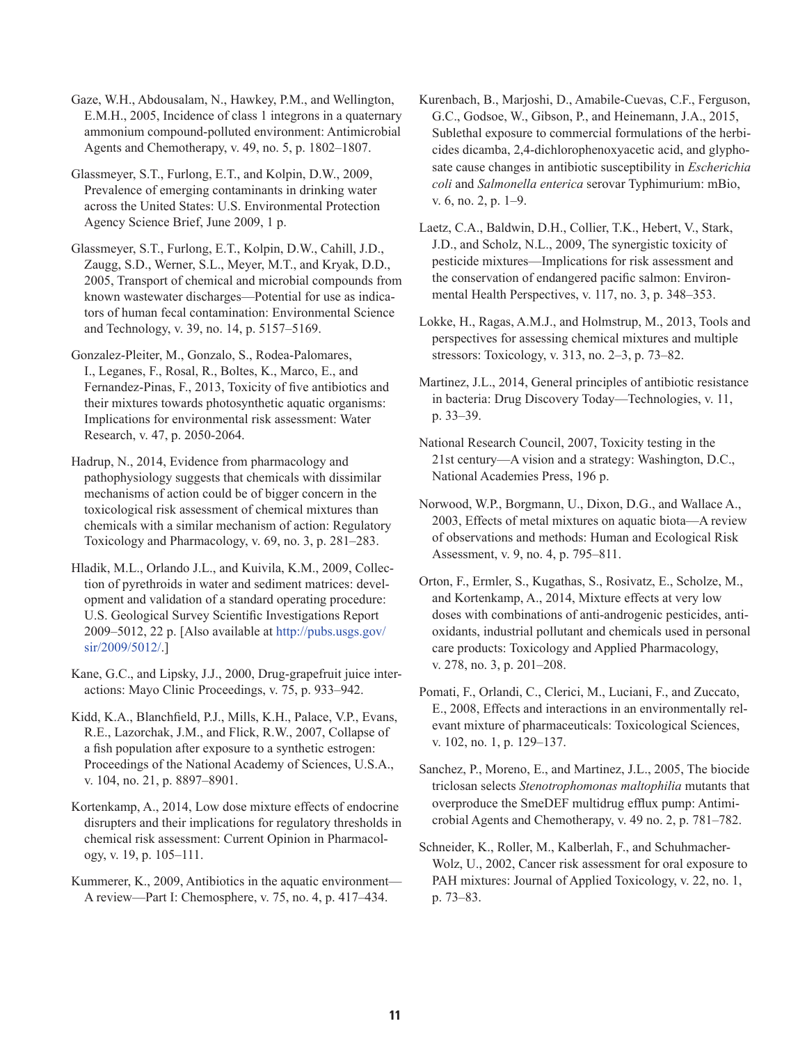Gaze, W.H., Abdousalam, N., Hawkey, P.M., and Wellington, E.M.H., 2005, Incidence of class 1 integrons in a quaternary ammonium compound-polluted environment: Antimicrobial Agents and Chemotherapy, v. 49, no. 5, p. 1802–1807.

Glassmeyer, S.T., Furlong, E.T., and Kolpin, D.W., 2009, Prevalence of emerging contaminants in drinking water across the United States: U.S. Environmental Protection Agency Science Brief, June 2009, 1 p.

Glassmeyer, S.T., Furlong, E.T., Kolpin, D.W., Cahill, J.D., Zaugg, S.D., Werner, S.L., Meyer, M.T., and Kryak, D.D., 2005, Transport of chemical and microbial compounds from known wastewater discharges—Potential for use as indicators of human fecal contamination: Environmental Science and Technology, v. 39, no. 14, p. 5157–5169.

Gonzalez-Pleiter, M., Gonzalo, S., Rodea-Palomares, I., Leganes, F., Rosal, R., Boltes, K., Marco, E., and Fernandez-Pinas, F., 2013, Toxicity of five antibiotics and their mixtures towards photosynthetic aquatic organisms: Implications for environmental risk assessment: Water Research, v. 47, p. 2050-2064.

Hadrup, N., 2014, Evidence from pharmacology and pathophysiology suggests that chemicals with dissimilar mechanisms of action could be of bigger concern in the toxicological risk assessment of chemical mixtures than chemicals with a similar mechanism of action: Regulatory Toxicology and Pharmacology, v. 69, no. 3, p. 281–283.

Hladik, M.L., Orlando J.L., and Kuivila, K.M., 2009, Collection of pyrethroids in water and sediment matrices: development and validation of a standard operating procedure: U.S. Geological Survey Scientific Investigations Report 2009–5012, 22 p. [Also available at [http://pubs.usgs.gov/](http://pubs.usgs.gov/sir/2009/5012/) [sir/2009/5012/](http://pubs.usgs.gov/sir/2009/5012/).]

Kane, G.C., and Lipsky, J.J., 2000, Drug-grapefruit juice interactions: Mayo Clinic Proceedings, v. 75, p. 933–942.

Kidd, K.A., Blanchfield, P.J., Mills, K.H., Palace, V.P., Evans, R.E., Lazorchak, J.M., and Flick, R.W., 2007, Collapse of a fish population after exposure to a synthetic estrogen: Proceedings of the National Academy of Sciences, U.S.A., v. 104, no. 21, p. 8897–8901.

Kortenkamp, A., 2014, Low dose mixture effects of endocrine disrupters and their implications for regulatory thresholds in chemical risk assessment: Current Opinion in Pharmacology, v. 19, p. 105–111.

Kummerer, K., 2009, Antibiotics in the aquatic environment— A review—Part I: Chemosphere, v. 75, no. 4, p. 417–434.

Kurenbach, B., Marjoshi, D., Amabile-Cuevas, C.F., Ferguson, G.C., Godsoe, W., Gibson, P., and Heinemann, J.A., 2015, Sublethal exposure to commercial formulations of the herbicides dicamba, 2,4-dichlorophenoxyacetic acid, and glyphosate cause changes in antibiotic susceptibility in *Escherichia coli* and *Salmonella enterica* serovar Typhimurium: mBio, v. 6, no. 2, p. 1–9.

Laetz, C.A., Baldwin, D.H., Collier, T.K., Hebert, V., Stark, J.D., and Scholz, N.L., 2009, The synergistic toxicity of pesticide mixtures—Implications for risk assessment and the conservation of endangered pacific salmon: Environmental Health Perspectives, v. 117, no. 3, p. 348–353.

Lokke, H., Ragas, A.M.J., and Holmstrup, M., 2013, Tools and perspectives for assessing chemical mixtures and multiple stressors: Toxicology, v. 313, no. 2–3, p. 73–82.

Martinez, J.L., 2014, General principles of antibiotic resistance in bacteria: Drug Discovery Today—Technologies, v. 11, p. 33–39.

National Research Council, 2007, Toxicity testing in the 21st century—A vision and a strategy: Washington, D.C., National Academies Press, 196 p.

Norwood, W.P., Borgmann, U., Dixon, D.G., and Wallace A., 2003, Effects of metal mixtures on aquatic biota—A review of observations and methods: Human and Ecological Risk Assessment, v. 9, no. 4, p. 795–811.

Orton, F., Ermler, S., Kugathas, S., Rosivatz, E., Scholze, M., and Kortenkamp, A., 2014, Mixture effects at very low doses with combinations of anti-androgenic pesticides, antioxidants, industrial pollutant and chemicals used in personal care products: Toxicology and Applied Pharmacology, v. 278, no. 3, p. 201–208.

Pomati, F., Orlandi, C., Clerici, M., Luciani, F., and Zuccato, E., 2008, Effects and interactions in an environmentally relevant mixture of pharmaceuticals: Toxicological Sciences, v. 102, no. 1, p. 129–137.

Sanchez, P., Moreno, E., and Martinez, J.L., 2005, The biocide triclosan selects *Stenotrophomonas maltophilia* mutants that overproduce the SmeDEF multidrug efflux pump: Antimicrobial Agents and Chemotherapy, v. 49 no. 2, p. 781–782.

Schneider, K., Roller, M., Kalberlah, F., and Schuhmacher-Wolz, U., 2002, Cancer risk assessment for oral exposure to PAH mixtures: Journal of Applied Toxicology, v. 22, no. 1, p. 73–83.